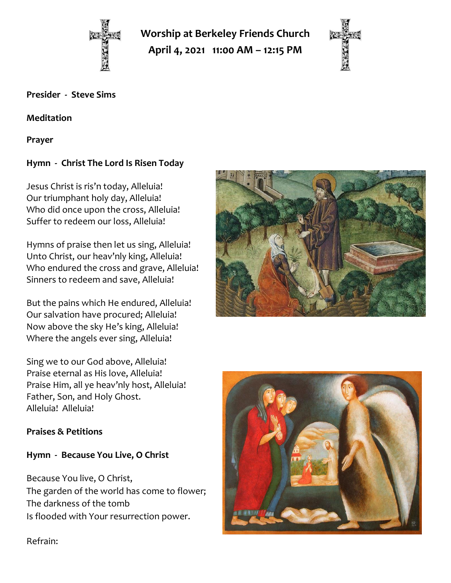

**Worship at Berkeley Friends Church**

**April 4, 2021 11:00 AM – 12:15 PM**



#### **Presider - Steve Sims**

**Meditation**

**Prayer**

# **Hymn - Christ The Lord Is Risen Today**

Jesus Christ is ris'n today, Alleluia! Our triumphant holy day, Alleluia! Who did once upon the cross, Alleluia! Suffer to redeem our loss, Alleluia!

Hymns of praise then let us sing, Alleluia! Unto Christ, our heav'nly king, Alleluia! Who endured the cross and grave, Alleluia! Sinners to redeem and save, Alleluia!

But the pains which He endured, Alleluia! Our salvation have procured; Alleluia! Now above the sky He's king, Alleluia! Where the angels ever sing, Alleluia!

Sing we to our God above, Alleluia! Praise eternal as His love, Alleluia! Praise Him, all ye heav'nly host, Alleluia! Father, Son, and Holy Ghost. Alleluia! Alleluia!

### **Praises & Petitions**

### **Hymn - Because You Live, O Christ**

Because You live, O Christ, The garden of the world has come to flower; The darkness of the tomb Is flooded with Your resurrection power.





Refrain: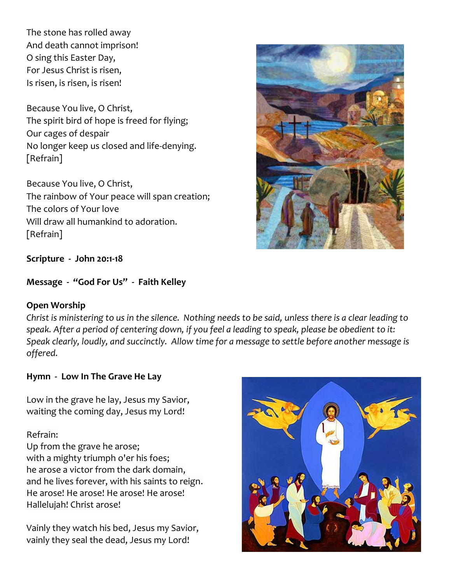The stone has rolled away And death cannot imprison! O sing this Easter Day, For Jesus Christ is risen, Is risen, is risen, is risen!

Because You live, O Christ, The spirit bird of hope is freed for flying; Our cages of despair No longer keep us closed and life-denying. [Refrain]

Because You live, O Christ, The rainbow of Your peace will span creation; The colors of Your love Will draw all humankind to adoration. [Refrain]



**Message - "God For Us" - Faith Kelley**

#### **Open Worship**

*Christ is ministering to us in the silence. Nothing needs to be said, unless there is a clear leading to speak. After a period of centering down, if you feel a leading to speak, please be obedient to it: Speak clearly, loudly, and succinctly. Allow time for a message to settle before another message is offered.*

#### **Hymn - Low In The Grave He Lay**

Low in the grave he lay, Jesus my Savior, waiting the coming day, Jesus my Lord!

Refrain:

Up from the grave he arose; with a mighty triumph o'er his foes; he arose a victor from the dark domain, and he lives forever, with his saints to reign. He arose! He arose! He arose! He arose! Hallelujah! Christ arose!

Vainly they watch his bed, Jesus my Savior, vainly they seal the dead, Jesus my Lord!



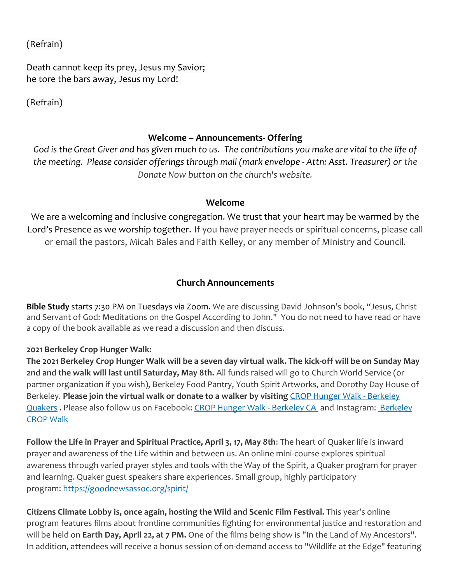(Refrain)

Death cannot keep its prey, Jesus my Savior; he tore the bars away, Jesus my Lord!

(Refrain)

#### **Welcome – Announcements- Offering**

*God is the Great Giver and has given much to us. The contributions you make are vital to the life of the meeting. Please consider offerings through mail (mark envelope - Attn: Asst. Treasurer) or the Donate Now button on the church's website.*

#### **Welcome**

We are a welcoming and inclusive congregation. We trust that your heart may be warmed by the Lord's Presence as we worship together. If you have prayer needs or spiritual concerns, please call or email the pastors, Micah Bales and Faith Kelley, or any member of Ministry and Council.

#### **Church Announcements**

**Bible Study** starts 7:30 PM on Tuesdays via Zoom. We are discussing David Johnson's book, "Jesus, Christ and Servant of God: Meditations on the Gospel According to John." You do not need to have read or have a copy of the book available as we read a discussion and then discuss.

#### **2021 Berkeley Crop Hunger Walk:**

**The 2021 Berkeley Crop Hunger Walk will be a seven day virtual walk. The kick-off will be on Sunday May 2nd and the walk will last until Saturday, May 8th.** All funds raised will go to Church World Service (or partner organization if you wish), Berkeley Food Pantry, Youth Spirit Artworks, and Dorothy Day House of Berkeley. **Please join the virtual walk or donate to a walker by visiting** [CROP Hunger Walk -](https://events.crophungerwalk.org/2021/team/berkeley-quakers) Berkeley [Quakers](https://events.crophungerwalk.org/2021/team/berkeley-quakers) . Please also follow us on Facebook: [CROP Hunger Walk -](https://www.facebook.com/CROP-Hunger-Walk-Berkeley-California-724937120919942) [Berkeley](https://www.instagram.com/berkeleycropwalk/?hl=en) CA and Instagram: Berkeley [CROP Walk](https://www.instagram.com/berkeleycropwalk/?hl=en)

**Follow the Life in Prayer and Spiritual Practice, April 3, 17, May 8th**: The heart of Quaker life is inward prayer and awareness of the Life within and between us. An online mini-course explores spiritual awareness through varied prayer styles and tools with the Way of the Spirit, a Quaker program for prayer and learning. Quaker guest speakers share experiences. Small group, highly participatory program: [https://goodnewsassoc.org/spirit/](https://scymf.us15.list-manage.com/track/click?u=b3919ba778f46050fb765c146&id=9d34589a5c&e=445a862d65)

**Citizens Climate Lobby is, once again, hosting the Wild and Scenic Film Festival.** This year's online program features films about frontline communities fighting for environmental justice and restoration and will be held on **Earth Day, April 22, at 7 PM.** One of the films being show is "In the Land of My Ancestors". In addition, attendees will receive a bonus session of on-demand access to "Wildlife at the Edge" featuring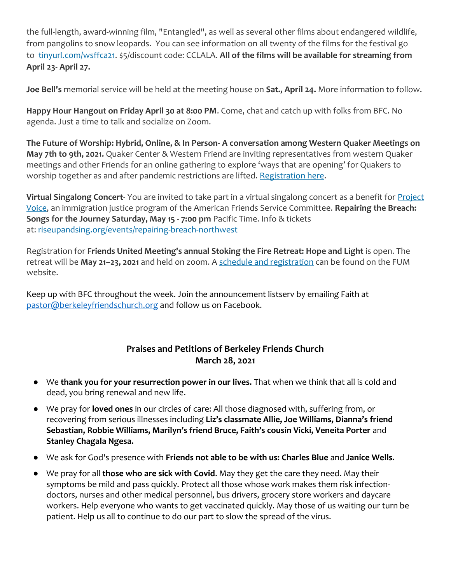the full-length, award-winning film, "Entangled", as well as several other films about endangered wildlife, from pangolins to snow leopards. You can see information on all twenty of the films for the festival go to [tinyurl.com/wsffca21.](http://tinyurl.com/wsffca21) \$5/discount code: CCLALA. **All of the films will be available for streaming from April 23- April 27.**

**Joe Bell's** memorial service will be held at the meeting house on **Sat., April 24.** More information to follow.

**Happy Hour Hangout on Friday April 30 at 8:00 PM**. Come, chat and catch up with folks from BFC. No agenda. Just a time to talk and socialize on Zoom.

**The Future of Worship: Hybrid, Online, & In Person- A conversation among Western Quaker Meetings on May 7th to 9th, 2021.** Quaker Center & Western Friend are inviting representatives from western Quaker meetings and other Friends for an online gathering to explore 'ways that are opening' for Quakers to worship together as and after pandemic restrictions are lifted. [Registration here.](https://www.futureofworship.org/)

**Virtual Singalong Concert**- You are invited to take part in a virtual singalong concert as a benefit for [Project](https://scymf.us15.list-manage.com/track/click?u=b3919ba778f46050fb765c146&id=b863fc3b05&e=445a862d65)  [Voice,](https://scymf.us15.list-manage.com/track/click?u=b3919ba778f46050fb765c146&id=b863fc3b05&e=445a862d65) an immigration justice program of the American Friends Service Committee. **Repairing the Breach: Songs for the Journey Saturday, May 15 - 7:00 pm** Pacific Time. Info & tickets at: [riseupandsing.org/events/repairing-breach-northwest](https://scymf.us15.list-manage.com/track/click?u=b3919ba778f46050fb765c146&id=aac01691a6&e=445a862d65)

Registration for **Friends United Meeting's annual Stoking the Fire Retreat: Hope and Light** is open. The retreat will be **May 21–23, 2021** and held on zoom. A [schedule and registration](https://www.friendsunitedmeeting.org/connect/stoking-the-fire) can be found on the FUM website.

Keep up with BFC throughout the week. Join the announcement listserv by emailing Faith at [pastor@berkeleyfriendschurch.org](mailto:pastor@berkeleyfriendschurch.org) and follow us on Facebook.

## **Praises and Petitions of Berkeley Friends Church March 28, 2021**

- We **thank you for your resurrection power in our lives.** That when we think that all is cold and dead, you bring renewal and new life.
- We pray for **loved ones** in our circles of care: All those diagnosed with, suffering from, or recovering from serious illnesses including **Liz's classmate Allie, Joe Williams, Dianna's friend Sebastian, Robbie Williams, Marilyn's friend Bruce, Faith's cousin Vicki, Veneita Porter** and **Stanley Chagala Ngesa.**
- We ask for God's presence with **Friends not able to be with us: Charles Blue** and **Janice Wells.**
- We pray for all **those who are sick with Covid**. May they get the care they need. May their symptoms be mild and pass quickly. Protect all those whose work makes them risk infectiondoctors, nurses and other medical personnel, bus drivers, grocery store workers and daycare workers. Help everyone who wants to get vaccinated quickly. May those of us waiting our turn be patient. Help us all to continue to do our part to slow the spread of the virus.